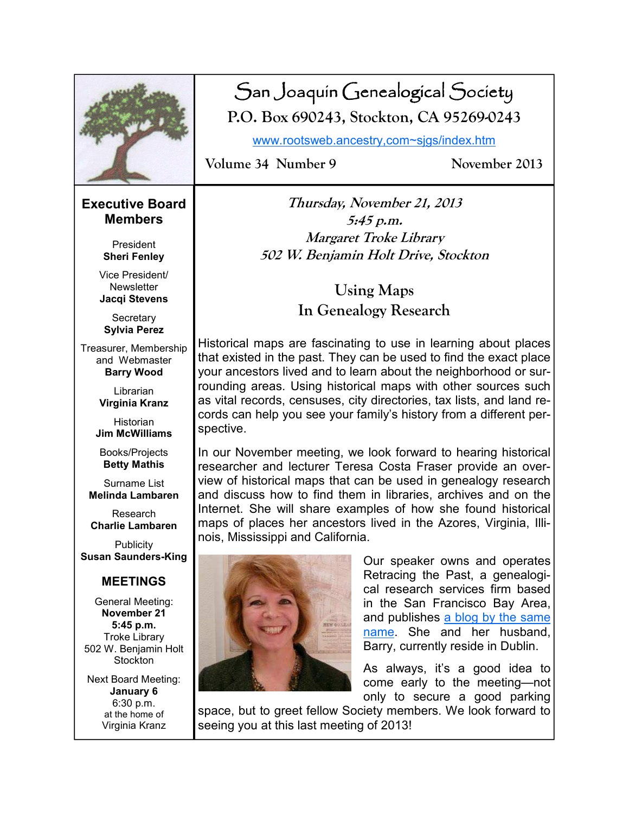|                                                                                                          | Volume 34 Number 9                                                                                                                                                                                                                                                 | San Joaquín Genealogical Society<br>P.O. Box 690243, Stockton, CA 95269-0243<br>www.rootsweb.ancestry.com~sigs/index.htm<br>November 2013                                  |  |
|----------------------------------------------------------------------------------------------------------|--------------------------------------------------------------------------------------------------------------------------------------------------------------------------------------------------------------------------------------------------------------------|----------------------------------------------------------------------------------------------------------------------------------------------------------------------------|--|
|                                                                                                          |                                                                                                                                                                                                                                                                    |                                                                                                                                                                            |  |
| <b>Executive Board</b><br><b>Members</b><br>President                                                    | Thursday, November 21, 2013<br>5:45 p.m.<br>Margaret Troke Library                                                                                                                                                                                                 |                                                                                                                                                                            |  |
| <b>Sheri Fenley</b>                                                                                      | 502 W. Benjamin Holt Drive, Stockton                                                                                                                                                                                                                               |                                                                                                                                                                            |  |
| Vice President/<br><b>Newsletter</b><br>Jacqi Stevens                                                    | <b>Using Maps</b>                                                                                                                                                                                                                                                  |                                                                                                                                                                            |  |
| Secretary<br><b>Sylvia Perez</b>                                                                         | In Genealogy Research                                                                                                                                                                                                                                              |                                                                                                                                                                            |  |
| Treasurer, Membership<br>and Webmaster<br><b>Barry Wood</b>                                              | Historical maps are fascinating to use in learning about places<br>that existed in the past. They can be used to find the exact place<br>your ancestors lived and to learn about the neighborhood or sur-                                                          |                                                                                                                                                                            |  |
| Librarian<br>Virginia Kranz                                                                              | rounding areas. Using historical maps with other sources such<br>as vital records, censuses, city directories, tax lists, and land re-                                                                                                                             |                                                                                                                                                                            |  |
| Historian<br><b>Jim McWilliams</b>                                                                       | cords can help you see your family's history from a different per-<br>spective.                                                                                                                                                                                    |                                                                                                                                                                            |  |
| Books/Projects<br><b>Betty Mathis</b>                                                                    | In our November meeting, we look forward to hearing historical<br>researcher and lecturer Teresa Costa Fraser provide an over-<br>view of historical maps that can be used in genealogy research<br>and discuss how to find them in libraries, archives and on the |                                                                                                                                                                            |  |
| Surname List<br><b>Melinda Lambaren</b>                                                                  |                                                                                                                                                                                                                                                                    |                                                                                                                                                                            |  |
| Research<br><b>Charlie Lambaren</b>                                                                      | Internet. She will share examples of how she found historical<br>maps of places her ancestors lived in the Azores, Virginia, Illi-<br>nois, Mississippi and California.                                                                                            |                                                                                                                                                                            |  |
| Publicity<br><b>Susan Saunders-King</b>                                                                  |                                                                                                                                                                                                                                                                    | Our speaker owns and operates                                                                                                                                              |  |
| <b>MEETINGS</b>                                                                                          |                                                                                                                                                                                                                                                                    | Retracing the Past, a genealogi-                                                                                                                                           |  |
| General Meeting:<br>November 21<br>5:45 p.m.<br><b>Troke Library</b><br>502 W. Benjamin Holt<br>Stockton |                                                                                                                                                                                                                                                                    | cal research services firm based<br>in the San Francisco Bay Area,<br>and publishes a blog by the same<br>name. She and her husband,<br>Barry, currently reside in Dublin. |  |
| <b>Next Board Meeting:</b><br>January 6<br>6:30 p.m.<br>at the home of<br>Virginia Kranz                 | seeing you at this last meeting of 2013!                                                                                                                                                                                                                           | As always, it's a good idea to<br>come early to the meeting-not<br>only to secure a good parking<br>space, but to greet fellow Society members. We look forward to         |  |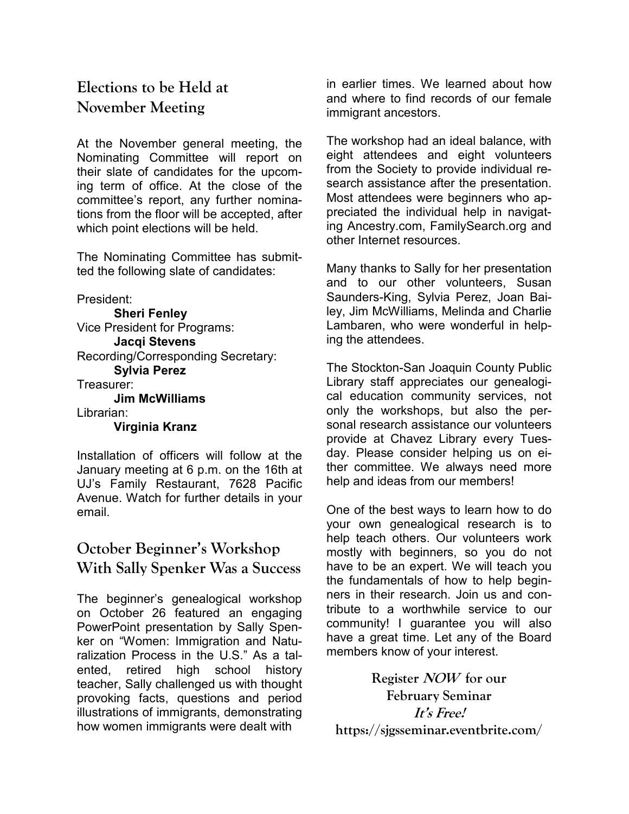# **Elections to be Held at November Meeting**

At the November general meeting, the Nominating Committee will report on their slate of candidates for the upcoming term of office. At the close of the committee's report, any further nominations from the floor will be accepted, after which point elections will be held.

The Nominating Committee has submitted the following slate of candidates:

President: **Sheri Fenley** Vice President for Programs: **Jacqi Stevens** Recording/Corresponding Secretary: **Sylvia Perez** Treasurer: **Jim McWilliams** Librarian: **Virginia Kranz**

Installation of officers will follow at the January meeting at 6 p.m. on the 16th at UJ's Family Restaurant, 7628 Pacific Avenue. Watch for further details in your email.

# **October Beginner's Workshop With Sally Spenker Was a Success**

The beginner's genealogical workshop on October 26 featured an engaging PowerPoint presentation by Sally Spenker on "Women: Immigration and Naturalization Process in the U.S." As a talented, retired high school history teacher, Sally challenged us with thought provoking facts, questions and period illustrations of immigrants, demonstrating how women immigrants were dealt with

in earlier times. We learned about how and where to find records of our female immigrant ancestors.

The workshop had an ideal balance, with eight attendees and eight volunteers from the Society to provide individual research assistance after the presentation. Most attendees were beginners who appreciated the individual help in navigating Ancestry.com, FamilySearch.org and other Internet resources.

Many thanks to Sally for her presentation and to our other volunteers, Susan Saunders-King, Sylvia Perez, Joan Bailey, Jim McWilliams, Melinda and Charlie Lambaren, who were wonderful in helping the attendees.

The Stockton-San Joaquin County Public Library staff appreciates our genealogical education community services, not only the workshops, but also the personal research assistance our volunteers provide at Chavez Library every Tuesday. Please consider helping us on either committee. We always need more help and ideas from our members!

One of the best ways to learn how to do your own genealogical research is to help teach others. Our volunteers work mostly with beginners, so you do not have to be an expert. We will teach you the fundamentals of how to help beginners in their research. Join us and contribute to a worthwhile service to our community! I guarantee you will also have a great time. Let any of the Board members know of your interest.

**Register NOW for our February Seminar It's Free! https://sjgsseminar.eventbrite.com/**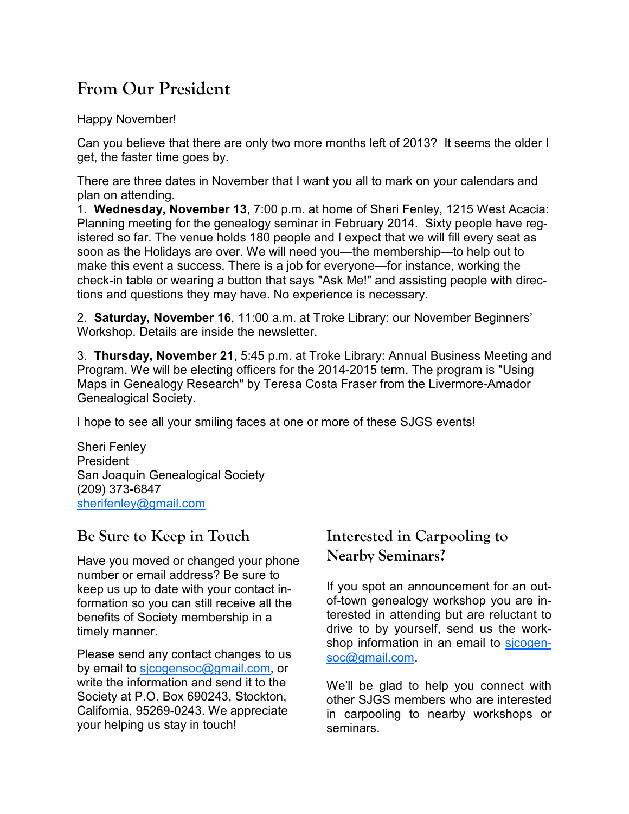# **From Our President**

Happy November!

Can you believe that there are only two more months left of 2013? It seems the older I get, the faster time goes by.

There are three dates in November that I want you all to mark on your calendars and plan on attending.

1. **Wednesday, November 13**, 7:00 p.m. at home of Sheri Fenley, 1215 West Acacia: Planning meeting for the genealogy seminar in February 2014. Sixty people have registered so far. The venue holds 180 people and I expect that we will fill every seat as soon as the Holidays are over. We will need you—the membership—to help out to make this event a success. There is a job for everyone—for instance, working the check-in table or wearing a button that says "Ask Me!" and assisting people with directions and questions they may have. No experience is necessary.

2. **Saturday, November 16**, 11:00 a.m. at Troke Library: our November Beginners' Workshop. Details are inside the newsletter.

3. **Thursday, November 21**, 5:45 p.m. at Troke Library: Annual Business Meeting and Program. We will be electing officers for the 2014-2015 term. The program is "Using Maps in Genealogy Research" by Teresa Costa Fraser from the Livermore-Amador Genealogical Society.

I hope to see all your smiling faces at one or more of these SJGS events!

Sheri Fenley President San Joaquin Genealogical Society (209) 373-6847 sherifenley@gmail.com

# **Be Sure to Keep in Touch**

Have you moved or changed your phone number or email address? Be sure to keep us up to date with your contact information so you can still receive all the benefits of Society membership in a timely manner.

Please send any contact changes to us by email to sicogensoc@gmail.com, or write the information and send it to the Society at P.O. Box 690243, Stockton, California, 95269-0243. We appreciate your helping us stay in touch!

## **Interested in Carpooling to Nearby Seminars?**

If you spot an announcement for an outof-town genealogy workshop you are interested in attending but are reluctant to drive to by yourself, send us the workshop information in an email to sicogensoc@gmail.com.

We'll be glad to help you connect with other SJGS members who are interested in carpooling to nearby workshops or seminars.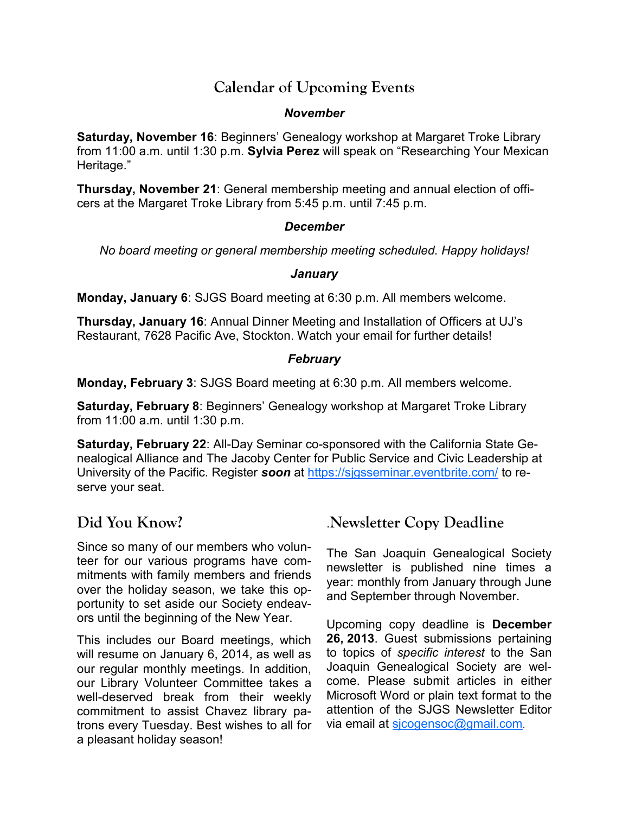### **Calendar of Upcoming Events**

#### *November*

**Saturday, November 16**: Beginners' Genealogy workshop at Margaret Troke Library from 11:00 a.m. until 1:30 p.m. **Sylvia Perez** will speak on "Researching Your Mexican Heritage."

**Thursday, November 21**: General membership meeting and annual election of officers at the Margaret Troke Library from 5:45 p.m. until 7:45 p.m.

#### *December*

*No board meeting or general membership meeting scheduled. Happy holidays!* 

#### *January*

**Monday, January 6**: SJGS Board meeting at 6:30 p.m. All members welcome.

**Thursday, January 16**: Annual Dinner Meeting and Installation of Officers at UJ's Restaurant, 7628 Pacific Ave, Stockton. Watch your email for further details!

#### *February*

**Monday, February 3**: SJGS Board meeting at 6:30 p.m. All members welcome.

**Saturday, February 8**: Beginners' Genealogy workshop at Margaret Troke Library from 11:00 a.m. until 1:30 p.m.

**Saturday, February 22**: All-Day Seminar co-sponsored with the California State Genealogical Alliance and The Jacoby Center for Public Service and Civic Leadership at University of the Pacific. Register *soon* at https://sjgsseminar.eventbrite.com/ to reserve your seat.

# **Did You Know?**

Since so many of our members who volunteer for our various programs have commitments with family members and friends over the holiday season, we take this opportunity to set aside our Society endeavors until the beginning of the New Year.

This includes our Board meetings, which will resume on January 6, 2014, as well as our regular monthly meetings. In addition, our Library Volunteer Committee takes a well-deserved break from their weekly commitment to assist Chavez library patrons every Tuesday. Best wishes to all for a pleasant holiday season!

# .**Newsletter Copy Deadline**

The San Joaquin Genealogical Society newsletter is published nine times a year: monthly from January through June and September through November.

Upcoming copy deadline is **December 26, 2013**. Guest submissions pertaining to topics of *specific interest* to the San Joaquin Genealogical Society are welcome. Please submit articles in either Microsoft Word or plain text format to the attention of the SJGS Newsletter Editor via email at sjcogensoc@gmail.com.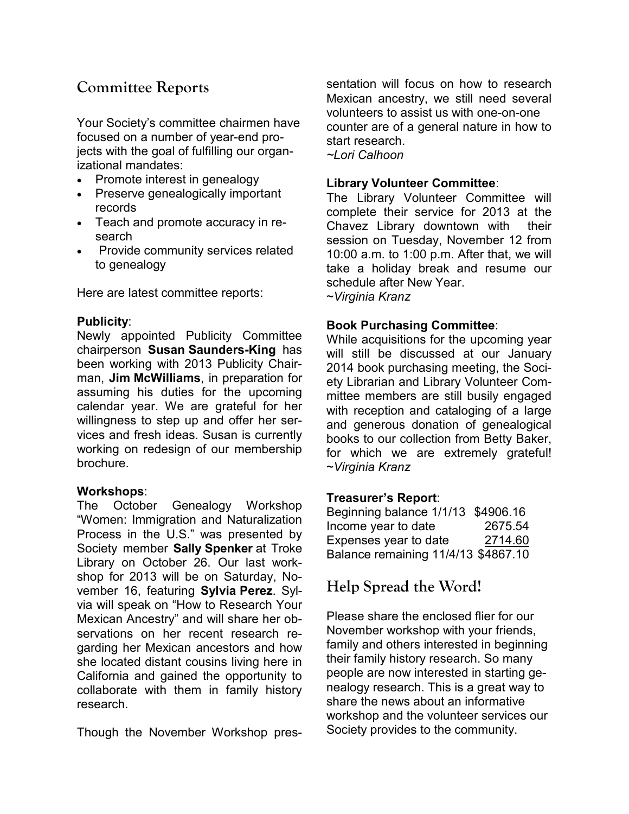### **Committee Reports**

Your Society's committee chairmen have focused on a number of year-end projects with the goal of fulfilling our organizational mandates:

- Promote interest in genealogy
- Preserve genealogically important records
- Teach and promote accuracy in research
- Provide community services related to genealogy

Here are latest committee reports:

#### **Publicity**:

Newly appointed Publicity Committee chairperson **Susan Saunders-King** has been working with 2013 Publicity Chairman, **Jim McWilliams**, in preparation for assuming his duties for the upcoming calendar year. We are grateful for her willingness to step up and offer her services and fresh ideas. Susan is currently working on redesign of our membership brochure.

#### **Workshops**:

The October Genealogy Workshop "Women: Immigration and Naturalization Process in the U.S." was presented by Society member **Sally Spenker** at Troke Library on October 26. Our last workshop for 2013 will be on Saturday, November 16, featuring **Sylvia Perez**. Sylvia will speak on "How to Research Your Mexican Ancestry" and will share her observations on her recent research regarding her Mexican ancestors and how she located distant cousins living here in California and gained the opportunity to collaborate with them in family history research.

Though the November Workshop pres-

sentation will focus on how to research Mexican ancestry, we still need several volunteers to assist us with one-on-one counter are of a general nature in how to start research. *~Lori Calhoon* 

**Library Volunteer Committee**:

The Library Volunteer Committee will complete their service for 2013 at the Chavez Library downtown with their session on Tuesday, November 12 from 10:00 a.m. to 1:00 p.m. After that, we will take a holiday break and resume our schedule after New Year. ~*Virginia Kranz*

#### **Book Purchasing Committee**:

While acquisitions for the upcoming year will still be discussed at our January 2014 book purchasing meeting, the Society Librarian and Library Volunteer Committee members are still busily engaged with reception and cataloging of a large and generous donation of genealogical books to our collection from Betty Baker, for which we are extremely grateful! ~*Virginia Kranz* 

#### **Treasurer's Report**:

Beginning balance 1/1/13 \$4906.16 Income year to date 2675.54 Expenses year to date 2714.60 Balance remaining 11/4/13 \$4867.10

# **Help Spread the Word!**

Please share the enclosed flier for our November workshop with your friends, family and others interested in beginning their family history research. So many people are now interested in starting genealogy research. This is a great way to share the news about an informative workshop and the volunteer services our Society provides to the community.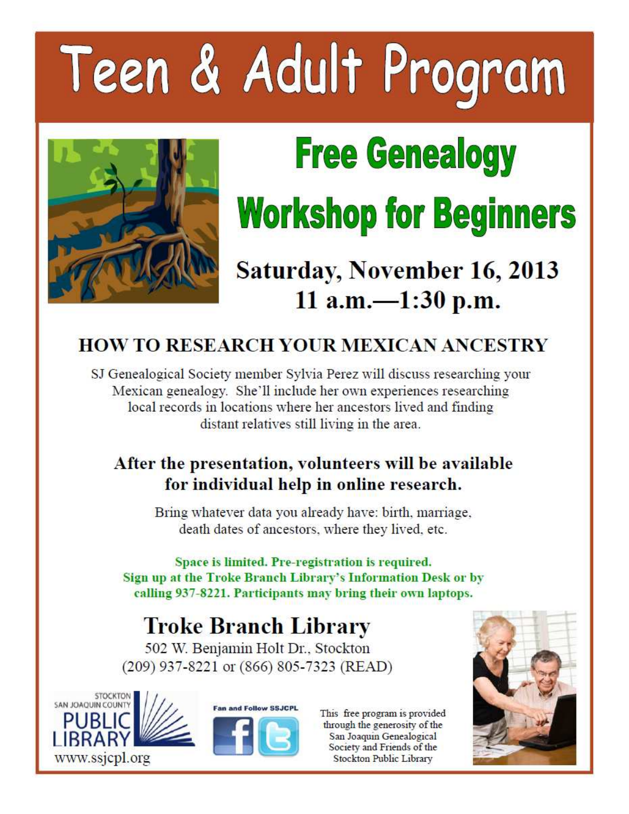# Teen & Adult Program



# **Free Genealogy Workshop for Beginners**

# **Saturday, November 16, 2013** 11 a.m. $-1:30$  p.m.

# **HOW TO RESEARCH YOUR MEXICAN ANCESTRY**

SJ Genealogical Society member Sylvia Perez will discuss researching your Mexican genealogy. She'll include her own experiences researching local records in locations where her ancestors lived and finding distant relatives still living in the area.

# After the presentation, volunteers will be available for individual help in online research.

Bring whatever data you already have: birth, marriage, death dates of ancestors, where they lived, etc.

Space is limited. Pre-registration is required. Sign up at the Troke Branch Library's Information Desk or by calling 937-8221. Participants may bring their own laptops.

# **Troke Branch Library**

502 W. Benjamin Holt Dr., Stockton (209) 937-8221 or (866) 805-7323 (READ)





This free program is provided through the generosity of the San Joaquin Genealogical Society and Friends of the Stockton Public Library

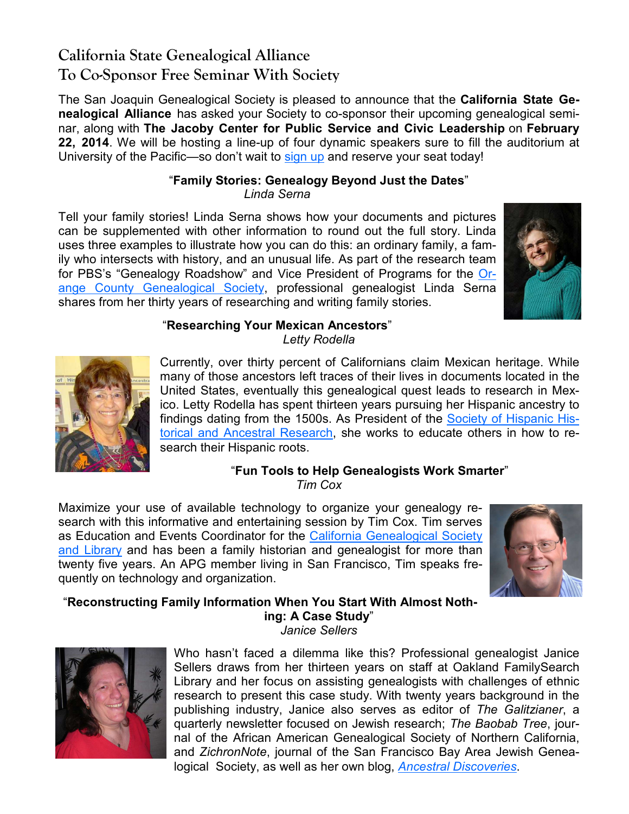# **California State Genealogical Alliance To Co-Sponsor Free Seminar With Society**

The San Joaquin Genealogical Society is pleased to announce that the **California State Genealogical Alliance** has asked your Society to co-sponsor their upcoming genealogical seminar, along with **The Jacoby Center for Public Service and Civic Leadership** on **February 22, 2014**. We will be hosting a line-up of four dynamic speakers sure to fill the auditorium at University of the Pacific—so don't wait to sign up and reserve your seat today!

#### "**Family Stories: Genealogy Beyond Just the Dates**" *Linda Serna*

Tell your family stories! Linda Serna shows how your documents and pictures can be supplemented with other information to round out the full story. Linda uses three examples to illustrate how you can do this: an ordinary family, a family who intersects with history, and an unusual life. As part of the research team for PBS's "Genealogy Roadshow" and Vice President of Programs for the Orange County Genealogical Society, professional genealogist Linda Serna shares from her thirty years of researching and writing family stories.



#### "**Researching Your Mexican Ancestors**" *Letty Rodella*



Currently, over thirty percent of Californians claim Mexican heritage. While many of those ancestors left traces of their lives in documents located in the United States, eventually this genealogical quest leads to research in Mexico. Letty Rodella has spent thirteen years pursuing her Hispanic ancestry to findings dating from the 1500s. As President of the Society of Hispanic Historical and Ancestral Research, she works to educate others in how to research their Hispanic roots.

# "**Fun Tools to Help Genealogists Work Smarter**"

*Tim Cox* 

Maximize your use of available technology to organize your genealogy research with this informative and entertaining session by Tim Cox. Tim serves as Education and Events Coordinator for the California Genealogical Society and Library and has been a family historian and genealogist for more than twenty five years. An APG member living in San Francisco, Tim speaks frequently on technology and organization.



"**Reconstructing Family Information When You Start With Almost Nothing: A Case Study**" *Janice Sellers* 



Who hasn't faced a dilemma like this? Professional genealogist Janice Sellers draws from her thirteen years on staff at Oakland FamilySearch Library and her focus on assisting genealogists with challenges of ethnic research to present this case study. With twenty years background in the publishing industry, Janice also serves as editor of *The Galitzianer*, a quarterly newsletter focused on Jewish research; *The Baobab Tree*, journal of the African American Genealogical Society of Northern California, and *ZichronNote*, journal of the San Francisco Bay Area Jewish Genealogical Society, as well as her own blog, *Ancestral Discoveries*.